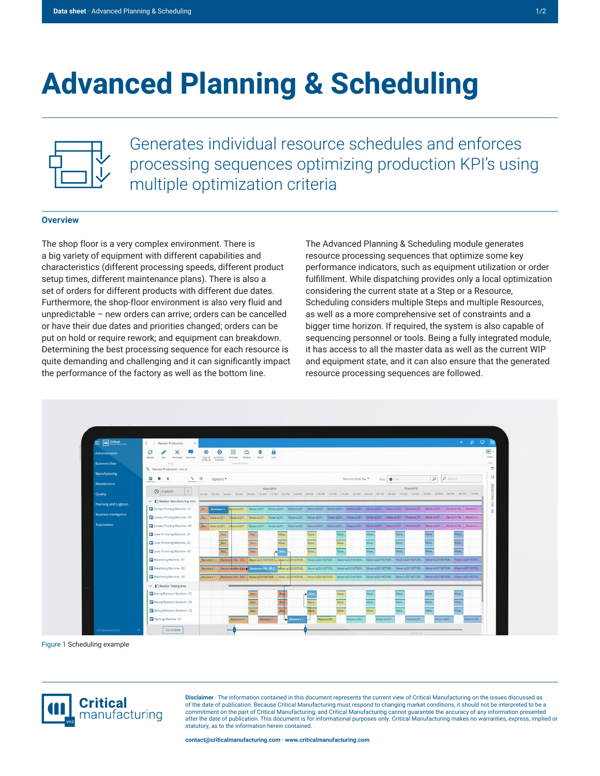## **Advanced Planning & Scheduling**



Generates individual resource schedules and enforces processing sequences optimizing production KPI's using multiple optimization criteria

## **Overview**

The shop floor is a very complex environment. There is a big variety of equipment with different capabilities and characteristics (different processing speeds, different product setup times, different maintenance plans). There is also a set of orders for different products with different due dates. Furthermore, the shop-floor environment is also very fluid and unpredictable – new orders can arrive; orders can be cancelled or have their due dates and priorities changed; orders can be put on hold or require rework; and equipment can breakdown. Determining the best processing sequence for each resource is quite demanding and challenging and it can significantly impact the performance of the factory as well as the bottom line.

The Advanced Planning & Scheduling module generates resource processing sequences that optimize some key performance indicators, such as equipment utilization or order fulfillment. While dispatching provides only a local optimization considering the current state at a Step or a Resource, Scheduling considers multiple Steps and multiple Resources, as well as a more comprehensive set of constraints and a bigger time horizon. If required, the system is also capable of sequencing personnel or tools. Being a fully integrated module, it has access to all the master data as well as the current WIP and equipment state, and it can also ensure that the generated resource processing sequences are followed.



Figure 1 Scheduling example



**Disclaimer** · The information contained in this document represents the current view of Critical Manufacturing on the issues discussed as of the date of publication. Because Critical Manufacturing must respond to changing market conditions, it should not be interpreted to be a commitment on the part of Critical Manufacturing, and Critical Manufacturing cannot guarantee the accuracy of any information presented after the date of publication. This document is for informational purposes only. Critical Manufacturing makes no warranties, express, implied or statutory, as to the information herein contained.